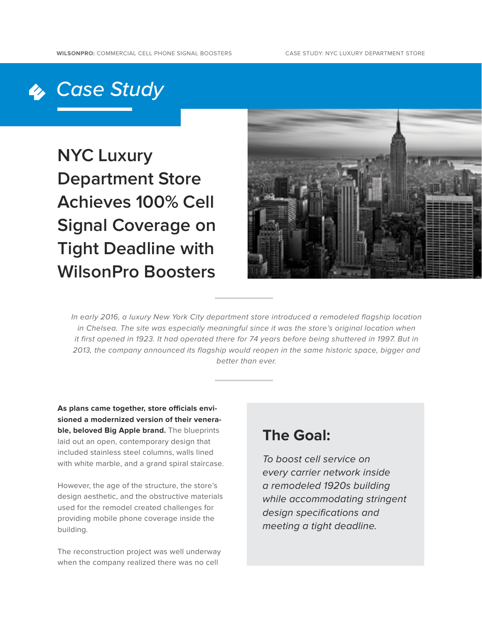## *Case Study*

**NYC Luxury Department Store Achieves 100% Cell Signal Coverage on Tight Deadline with WilsonPro Boosters**



In early 2016, a luxury New York City department store introduced a remodeled flagship location in Chelsea. The site was especially meaningful since it was the store's original location when it first opened in 1923. It had operated there for 74 years before being shuttered in 1997. But in 2013, the company announced its flagship would reopen in the same historic space, bigger and better than ever.

**As plans came together, store officials envisioned a modernized version of their venerable, beloved Big Apple brand.** The blueprints laid out an open, contemporary design that included stainless steel columns, walls lined with white marble, and a grand spiral staircase.

However, the age of the structure, the store's design aesthetic, and the obstructive materials used for the remodel created challenges for providing mobile phone coverage inside the building.

The reconstruction project was well underway when the company realized there was no cell

## **The Goal:**

To boost cell service on every carrier network inside a remodeled 1920s building while accommodating stringent design specifications and meeting a tight deadline.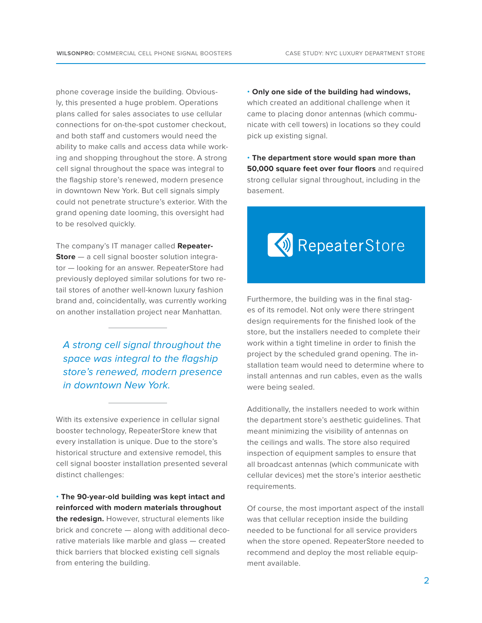phone coverage inside the building. Obviously, this presented a huge problem. Operations plans called for sales associates to use cellular connections for on-the-spot customer checkout, and both staff and customers would need the ability to make calls and access data while working and shopping throughout the store. A strong cell signal throughout the space was integral to the flagship store's renewed, modern presence in downtown New York. But cell signals simply could not penetrate structure's exterior. With the grand opening date looming, this oversight had to be resolved quickly.

The company's IT manager called **Repeater-Store** — a cell signal booster solution integrator — looking for an answer. RepeaterStore had previously deployed similar solutions for two retail stores of another well-known luxury fashion brand and, coincidentally, was currently working on another installation project near Manhattan.

A strong cell signal throughout the space was integral to the flagship store's renewed, modern presence in downtown New York.

With its extensive experience in cellular signal booster technology, RepeaterStore knew that every installation is unique. Due to the store's historical structure and extensive remodel, this cell signal booster installation presented several distinct challenges:

• **The 90-year-old building was kept intact and reinforced with modern materials throughout the redesign.** However, structural elements like brick and concrete — along with additional decorative materials like marble and glass — created thick barriers that blocked existing cell signals from entering the building.

• **Only one side of the building had windows,** which created an additional challenge when it came to placing donor antennas (which communicate with cell towers) in locations so they could pick up existing signal.

• **The department store would span more than 50,000 square feet over four floors** and required strong cellular signal throughout, including in the basement.



Furthermore, the building was in the final stages of its remodel. Not only were there stringent design requirements for the finished look of the store, but the installers needed to complete their work within a tight timeline in order to finish the project by the scheduled grand opening. The installation team would need to determine where to install antennas and run cables, even as the walls were being sealed.

Additionally, the installers needed to work within the department store's aesthetic guidelines. That meant minimizing the visibility of antennas on the ceilings and walls. The store also required inspection of equipment samples to ensure that all broadcast antennas (which communicate with cellular devices) met the store's interior aesthetic requirements.

Of course, the most important aspect of the install was that cellular reception inside the building needed to be functional for all service providers when the store opened. RepeaterStore needed to recommend and deploy the most reliable equipment available.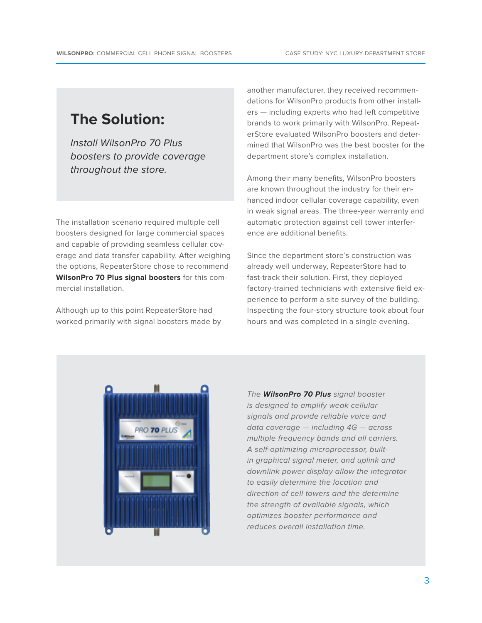## **The Solution:**

Install WilsonPro 70 Plus boosters to provide coverage throughout the store.

The installation scenario required multiple cell boosters designed for large commercial spaces and capable of providing seamless cellular coverage and data transfer capability. After weighing the options, RepeaterStore chose to recommend **[WilsonPro 70 Plus signal boosters](http://www.wilsonpro.com/pro-70-plus-50-ohm)** for this commercial installation.

Although up to this point RepeaterStore had worked primarily with signal boosters made by another manufacturer, they received recommendations for WilsonPro products from other installers — including experts who had left competitive brands to work primarily with WilsonPro. RepeaterStore evaluated WilsonPro boosters and determined that WilsonPro was the best booster for the department store's complex installation.

Among their many benefits, WilsonPro boosters are known throughout the industry for their enhanced indoor cellular coverage capability, even in weak signal areas. The three-year warranty and automatic protection against cell tower interference are additional benefits.

Since the department store's construction was already well underway, RepeaterStore had to fast-track their solution. First, they deployed factory-trained technicians with extensive field experience to perform a site survey of the building. Inspecting the four-story structure took about four hours and was completed in a single evening.



The **[WilsonPro 70 Plus](http://www.wilsonpro.com/pro-70-plus-50-ohm)** signal booster is designed to amplify weak cellular signals and provide reliable voice and data coverage — including 4G — across multiple frequency bands and all carriers. A self-optimizing microprocessor, builtin graphical signal meter, and uplink and downlink power display allow the integrator to easily determine the location and direction of cell towers and the determine the strength of available signals, which optimizes booster performance and reduces overall installation time.